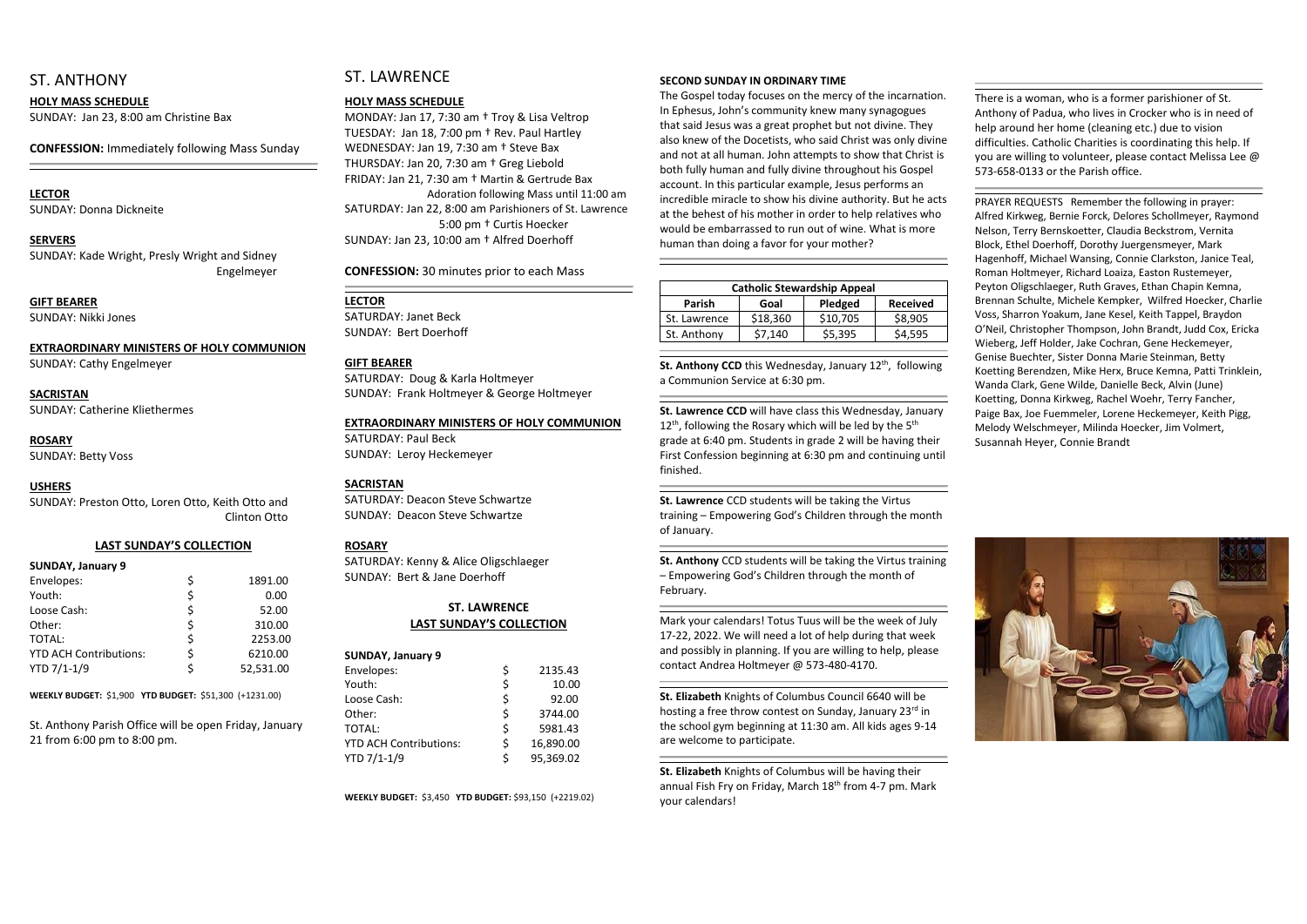### ST. ANTHONY

#### **HOLY MASS SCHEDULE**

SUNDAY: Jan 23, 8:00 am Christine Bax

**CONFESSION:** Immediately following Mass Sunday

## **LECTOR**

SUNDAY: Donna Dickneite

#### **SERVERS**

SUNDAY: Kade Wright, Presly Wright and Sidney Engelmeyer

#### **GIFT BEARER** SUNDAY: Nikki Jones

**EXTRAORDINARY MINISTERS OF HOLY COMMUNION**

SUNDAY: Cathy Engelmeyer

#### **SACRISTAN** SUNDAY: Catherine Kliethermes

**ROSARY**  SUNDAY: Betty Voss

#### **USHERS**

SUNDAY: Preston Otto, Loren Otto, Keith Otto and Clinton Otto

#### **LAST SUNDAY'S COLLECTION**

| <b>SUNDAY, January 9</b>      |    |           |
|-------------------------------|----|-----------|
| Envelopes:                    | \$ | 1891.00   |
| Youth:                        | \$ | 0.00      |
| Loose Cash:                   | \$ | 52.00     |
| Other:                        | \$ | 310.00    |
| TOTAL:                        | \$ | 2253.00   |
| <b>YTD ACH Contributions:</b> | \$ | 6210.00   |
| YTD 7/1-1/9                   | Ś. | 52,531.00 |
|                               |    |           |

**WEEKLY BUDGET:** \$1,900 **YTD BUDGET:** \$51,300 (+1231.00)

St. Anthony Parish Office will be open Friday, January 21 from 6:00 pm to 8:00 pm.

## ST. LAWRENCE

#### **HOLY MASS SCHEDULE**

MONDAY: Jan 17, 7:30 am † Troy & Lisa Veltrop TUESDAY: Jan 18, 7:00 pm † Rev. Paul Hartley WEDNESDAY: Jan 19, 7:30 am † Steve Bax THURSDAY: Jan 20, 7:30 am † Greg Liebold FRIDAY: Jan 21, 7:30 am † Martin & Gertrude Bax Adoration following Mass until 11:00 am SATURDAY: Jan 22, 8:00 am Parishioners of St. Lawrence 5:00 pm † Curtis Hoecker SUNDAY: Jan 23, 10:00 am † Alfred Doerhoff

**CONFESSION:** 30 minutes prior to each Mass

#### **LECTOR**

SATURDAY: Janet Beck SUNDAY: Bert Doerhoff

#### **GIFT BEARER**

SATURDAY: Doug & Karla Holtmeyer SUNDAY: Frank Holtmeyer & George Holtmeyer

St. Anthony CCD this Wednesday, January 12<sup>th</sup>, following a Communion Service at 6:30 pm.

#### **EXTRAORDINARY MINISTERS OF HOLY COMMUNION**

SATURDAY: Paul Beck SUNDAY: Leroy Heckemeyer

#### **SACRISTAN**

SATURDAY: Deacon Steve Schwartze SUNDAY: Deacon Steve Schwartze

#### **ROSARY**

SATURDAY: Kenny & Alice Oligschlaeger SUNDAY: Bert & Jane Doerhoff

#### **ST. LAWRENCE LAST SUNDAY'S COLLECTION**

| <b>SUNDAY, January 9</b>      |    |           |
|-------------------------------|----|-----------|
| Envelopes:                    | \$ | 2135.43   |
| Youth:                        | \$ | 10.00     |
| Loose Cash:                   | \$ | 92.00     |
| Other:                        | \$ | 3744.00   |
| TOTAL:                        | \$ | 5981.43   |
| <b>YTD ACH Contributions:</b> | \$ | 16,890.00 |
| YTD 7/1-1/9                   | Ś  | 95,369.02 |

**WEEKLY BUDGET:** \$3,450 **YTD BUDGET:** \$93,150 (+2219.02)

#### **SECOND SUNDAY IN ORDINARY TIME**

The Gospel today focuses on the mercy of the incarnation. In Ephesus, John's community knew many synagogues that said Jesus was a great prophet but not divine. They also knew of the Docetists, who said Christ was only divine and not at all human. John attempts to show that Christ is both fully human and fully divine throughout his Gospel account. In this particular example, Jesus performs an incredible miracle to show his divine authority. But he acts at the behest of his mother in order to help relatives who would be embarrassed to run out of wine. What is more human than doing a favor for your mother?

| <b>Catholic Stewardship Appeal</b> |          |          |                 |  |  |  |
|------------------------------------|----------|----------|-----------------|--|--|--|
| <b>Parish</b>                      | Goal     | Pledged  | <b>Received</b> |  |  |  |
| St. Lawrence                       | \$18,360 | \$10,705 | \$8,905         |  |  |  |
| St. Anthony                        | \$7,140  | \$5,395  | \$4.595         |  |  |  |
|                                    |          |          |                 |  |  |  |

**St. Lawrence CCD** will have class this Wednesday, January  $12^{th}$ , following the Rosary which will be led by the  $5^{th}$ grade at 6:40 pm. Students in grade 2 will be having their First Confession beginning at 6:30 pm and continuing until finished.

**St. Lawrence** CCD students will be taking the Virtus training – Empowering God's Children through the month of January.

**St. Anthony** CCD students will be taking the Virtus training – Empowering God's Children through the month of February.

Mark your calendars! Totus Tuus will be the week of July 17-22, 2022. We will need a lot of help during that week and possibly in planning. If you are willing to help, please contact Andrea Holtmeyer @ 573-480-4170.

**St. Elizabeth** Knights of Columbus Council 6640 will be hosting a free throw contest on Sunday, January 23rd in the school gym beginning at 11:30 am. All kids ages 9-14 are welcome to participate.

**St. Elizabeth** Knights of Columbus will be having their annual Fish Fry on Friday, March 18<sup>th</sup> from 4-7 pm. Mark your calendars!

There is a woman, who is a former parishioner of St. Anthony of Padua, who lives in Crocker who is in need of help around her home (cleaning etc.) due to vision difficulties. Catholic Charities is coordinating this help. If you are willing to volunteer, please contact Melissa Lee @ 573-658-0133 or the Parish office.

PRAYER REQUESTS Remember the following in prayer: Alfred Kirkweg, Bernie Forck, Delores Schollmeyer, Raymond Nelson, Terry Bernskoetter, Claudia Beckstrom, Vernita Block, Ethel Doerhoff, Dorothy Juergensmeyer, Mark Hagenhoff, Michael Wansing, Connie Clarkston, Janice Teal, Roman Holtmeyer, Richard Loaiza, Easton Rustemeyer, Peyton Oligschlaeger, Ruth Graves, Ethan Chapin Kemna, Brennan Schulte, Michele Kempker, Wilfred Hoecker, Charlie Voss, Sharron Yoakum, Jane Kesel, Keith Tappel, Braydon O'Neil, Christopher Thompson, John Brandt, Judd Cox, Ericka Wieberg, Jeff Holder, Jake Cochran, Gene Heckemeyer, Genise Buechter, Sister Donna Marie Steinman, Betty Koetting Berendzen, Mike Herx, Bruce Kemna, Patti Trinklein, Wanda Clark, Gene Wilde, Danielle Beck, Alvin (June) Koetting, Donna Kirkweg, Rachel Woehr, Terry Fancher, Paige Bax, Joe Fuemmeler, Lorene Heckemeyer, Keith Pigg, Melody Welschmeyer, Milinda Hoecker, Jim Volmert, Susannah Heyer, Connie Brandt